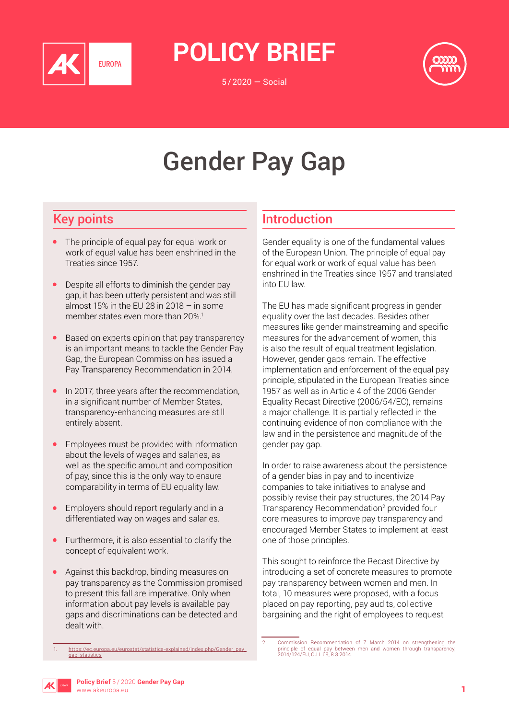

**Policy Brief**

5/2020 — Social



# Gender Pay Gap

# Key points

- The principle of equal pay for equal work or work of equal value has been enshrined in the Treaties since 1957.
- Despite all efforts to diminish the gender pay gap, it has been utterly persistent and was still almost 15% in the EU 28 in 2018 – in some member states even more than 20%.<sup>1</sup>
- Based on experts opinion that pay transparency is an important means to tackle the Gender Pay Gap, the European Commission has issued a Pay Transparency Recommendation in 2014.
- In 2017, three years after the recommendation, in a significant number of Member States, transparency-enhancing measures are still entirely absent.
- Employees must be provided with information about the levels of wages and salaries, as well as the specific amount and composition of pay, since this is the only way to ensure comparability in terms of EU equality law.
- Employers should report regularly and in a differentiated way on wages and salaries.
- Furthermore, it is also essential to clarify the concept of equivalent work.
- Against this backdrop, binding measures on pay transparency as the Commission promised to present this fall are imperative. Only when information about pay levels is available pay gaps and discriminations can be detected and dealt with.

# Introduction

Gender equality is one of the fundamental values of the European Union. The principle of equal pay for equal work or work of equal value has been enshrined in the Treaties since 1957 and translated into EU law.

The EU has made significant progress in gender equality over the last decades. Besides other measures like gender mainstreaming and specific measures for the advancement of women, this is also the result of equal treatment legislation. However, gender gaps remain. The effective implementation and enforcement of the equal pay principle, stipulated in the European Treaties since 1957 as well as in Article 4 of the 2006 Gender Equality Recast Directive (2006/54/EC), remains a major challenge. It is partially reflected in the continuing evidence of non-compliance with the law and in the persistence and magnitude of the gender pay gap.

In order to raise awareness about the persistence of a gender bias in pay and to incentivize companies to take initiatives to analyse and possibly revise their pay structures, the 2014 Pay Transparency Recommendation<sup>2</sup> provided four core measures to improve pay transparency and encouraged Member States to implement at least one of those principles.

This sought to reinforce the Recast Directive by introducing a set of concrete measures to promote pay transparency between women and men. In total, 10 measures were proposed, with a focus placed on pay reporting, pay audits, collective bargaining and the right of employees to request



[https://ec.europa.eu/eurostat/statistics-explained/index.php/Gender\\_pay\\_](https://ec.europa.eu/eurostat/statistics-explained/index.php/Gender_pay_gap_statistics) [gap\\_statistics](https://ec.europa.eu/eurostat/statistics-explained/index.php/Gender_pay_gap_statistics)

<sup>2.</sup> Commission Recommendation of 7 March 2014 on strengthening the principle of equal pay between men and women through transparency, 2014/124/EU, OJ L 69, 8.3.2014.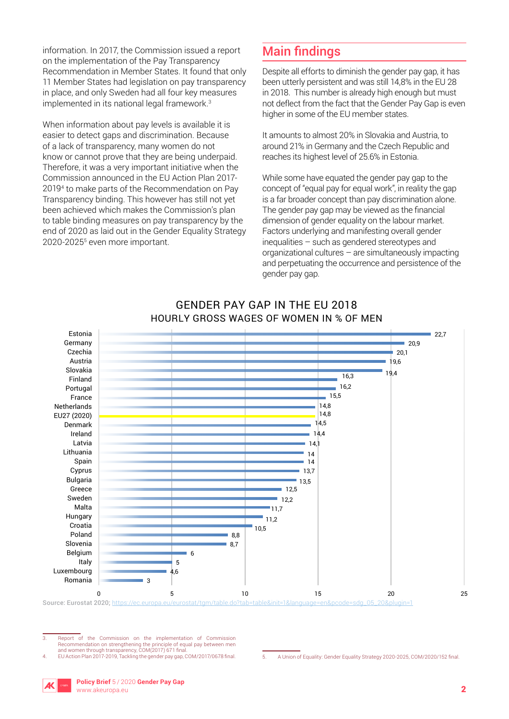information. In 2017, the Commission issued a report on the implementation of the Pay Transparency Recommendation in Member States. It found that only 11 Member States had legislation on pay transparency in place, and only Sweden had all four key measures implemented in its national legal framework.<sup>3</sup>

When information about pay levels is available it is easier to detect gaps and discrimination. Because of a lack of transparency, many women do not know or cannot prove that they are being underpaid. Therefore, it was a very important initiative when the Commission announced in the EU Action Plan 2017- 20194 to make parts of the Recommendation on Pay Transparency binding. This however has still not yet been achieved which makes the Commission's plan to table binding measures on pay transparency by the end of 2020 as laid out in the Gender Equality Strategy 2020-2025<sup>5</sup> even more important.

## Main findings

Despite all efforts to diminish the gender pay gap, it has been utterly persistent and was still 14,8% in the EU 28 in 2018. This number is already high enough but must not deflect from the fact that the Gender Pay Gap is even higher in some of the EU member states.

It amounts to almost 20% in Slovakia and Austria, to around 21% in Germany and the Czech Republic and reaches its highest level of 25.6% in Estonia.

While some have equated the gender pay gap to the concept of "equal pay for equal work", in reality the gap is a far broader concept than pay discrimination alone. The gender pay gap may be viewed as the financial dimension of gender equality on the labour market. Factors underlying and manifesting overall gender inequalities – such as gendered stereotypes and organizational cultures – are simultaneously impacting and perpetuating the occurrence and persistence of the gender pay gap.



#### GENDER PAY GAP IN THE EU 2018 HOURLY GROSS WAGES OF WOMEN IN % OF MEN

Source: Eurostat 2020; [https://ec.europa.eu/eurostat/tgm/table.do?tab=table&init=1&language=en&pcode=sdg\\_05\\_20&plugin=1](https://ec.europa.eu/eurostat/tgm/table.do%3Ftab%3Dtable%26init%3D1%26language%3Den%26pcode%3Dsdg_05_20%26plugin%3D1)

3. Report of the Commission on the implementation of Commission Recommendation on strengthening the principle of equal pay between men and women through transparency, COM(2017) 671 final.

<sup>4.</sup> EU Action Plan 2017-2019, Tackling the gender pay gap, COM/2017/0678 final. 5. A Union of Equality: Gender Equality Strategy 2020-2025, COM/2020/152 final.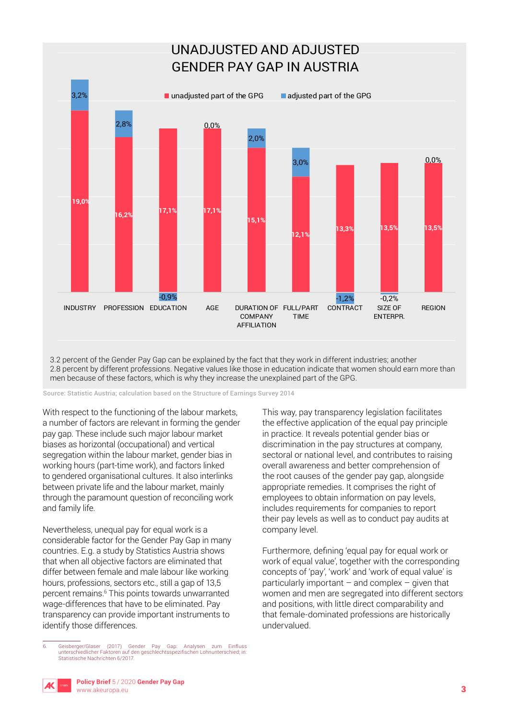

3.2 percent of the Gender Pay Gap can be explained by the fact that they work in different industries; another 2.8 percent by different professions. Negative values like those in education indicate that women should earn more than men because of these factors, which is why they increase the unexplained part of the GPG.

Source: Statistic Austria; calculation based on the Structure of Earnings Survey 2014

With respect to the functioning of the labour markets, a number of factors are relevant in forming the gender pay gap. These include such major labour market biases as horizontal (occupational) and vertical segregation within the labour market, gender bias in working hours (part-time work), and factors linked to gendered organisational cultures. It also interlinks between private life and the labour market, mainly through the paramount question of reconciling work and family life.

Nevertheless, unequal pay for equal work is a considerable factor for the Gender Pay Gap in many countries. E.g. a study by Statistics Austria shows that when all objective factors are eliminated that differ between female and male labour like working hours, professions, sectors etc., still a gap of 13,5 percent remains.6 This points towards unwarranted wage-differences that have to be eliminated. Pay transparency can provide important instruments to identify those differences.

This way, pay transparency legislation facilitates the effective application of the equal pay principle in practice. It reveals potential gender bias or discrimination in the pay structures at company, sectoral or national level, and contributes to raising overall awareness and better comprehension of the root causes of the gender pay gap, alongside appropriate remedies. It comprises the right of employees to obtain information on pay levels, includes requirements for companies to report their pay levels as well as to conduct pay audits at company level.

Furthermore, defining 'equal pay for equal work or work of equal value', together with the corresponding concepts of 'pay', 'work' and 'work of equal value' is particularly important  $-$  and complex  $-$  given that women and men are segregated into different sectors and positions, with little direct comparability and that female-dominated professions are historically undervalued.



Statistische Nachrichten 6/2017.

6. Geisberger/Glaser (2017) Gender Pay Gap: Analysen zum Einfluss unterschiedlicher Faktoren auf den geschlechtsspezifischen Lohnunterschied; in: